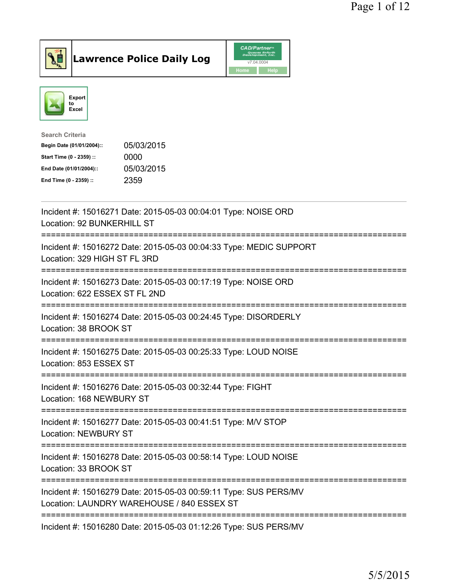

Lawrence Police Daily Log CAD/Partners



| 05/03/2015 |
|------------|
| 0000       |
| 05/03/2015 |
| 2359       |
|            |

| Incident #: 15016271 Date: 2015-05-03 00:04:01 Type: NOISE ORD<br>Location: 92 BUNKERHILL ST<br>-----------    |
|----------------------------------------------------------------------------------------------------------------|
| Incident #: 15016272 Date: 2015-05-03 00:04:33 Type: MEDIC SUPPORT<br>Location: 329 HIGH ST FL 3RD             |
| Incident #: 15016273 Date: 2015-05-03 00:17:19 Type: NOISE ORD<br>Location: 622 ESSEX ST FL 2ND                |
| Incident #: 15016274 Date: 2015-05-03 00:24:45 Type: DISORDERLY<br>Location: 38 BROOK ST                       |
| Incident #: 15016275 Date: 2015-05-03 00:25:33 Type: LOUD NOISE<br>Location: 853 ESSEX ST                      |
| Incident #: 15016276 Date: 2015-05-03 00:32:44 Type: FIGHT<br>Location: 168 NEWBURY ST                         |
| Incident #: 15016277 Date: 2015-05-03 00:41:51 Type: M/V STOP<br><b>Location: NEWBURY ST</b>                   |
| Incident #: 15016278 Date: 2015-05-03 00:58:14 Type: LOUD NOISE<br>Location: 33 BROOK ST                       |
| Incident #: 15016279 Date: 2015-05-03 00:59:11 Type: SUS PERS/MV<br>Location: LAUNDRY WAREHOUSE / 840 ESSEX ST |
| Incident #: 15016280 Date: 2015-05-03 01:12:26 Type: SUS PERS/MV                                               |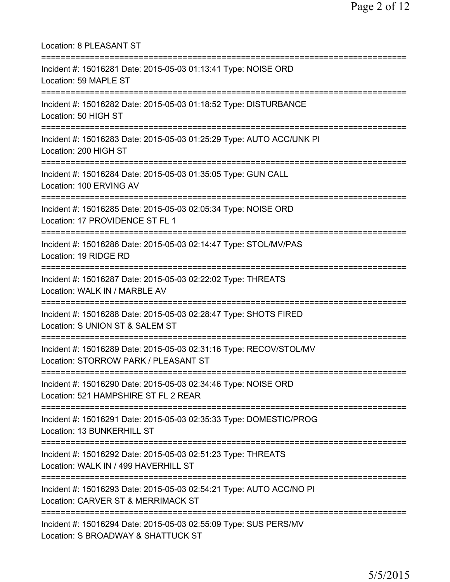| Location: 8 PLEASANT ST                                                                                                  |
|--------------------------------------------------------------------------------------------------------------------------|
| Incident #: 15016281 Date: 2015-05-03 01:13:41 Type: NOISE ORD<br>Location: 59 MAPLE ST<br>===================           |
| Incident #: 15016282 Date: 2015-05-03 01:18:52 Type: DISTURBANCE<br>Location: 50 HIGH ST<br>============================ |
| Incident #: 15016283 Date: 2015-05-03 01:25:29 Type: AUTO ACC/UNK PI<br>Location: 200 HIGH ST                            |
| Incident #: 15016284 Date: 2015-05-03 01:35:05 Type: GUN CALL<br>Location: 100 ERVING AV                                 |
| Incident #: 15016285 Date: 2015-05-03 02:05:34 Type: NOISE ORD<br>Location: 17 PROVIDENCE ST FL 1                        |
| Incident #: 15016286 Date: 2015-05-03 02:14:47 Type: STOL/MV/PAS<br>Location: 19 RIDGE RD                                |
| Incident #: 15016287 Date: 2015-05-03 02:22:02 Type: THREATS<br>Location: WALK IN / MARBLE AV                            |
| Incident #: 15016288 Date: 2015-05-03 02:28:47 Type: SHOTS FIRED<br>Location: S UNION ST & SALEM ST                      |
| Incident #: 15016289 Date: 2015-05-03 02:31:16 Type: RECOV/STOL/MV<br>Location: STORROW PARK / PLEASANT ST               |
| Incident #: 15016290 Date: 2015-05-03 02:34:46 Type: NOISE ORD<br>Location: 521 HAMPSHIRE ST FL 2 REAR                   |
| Incident #: 15016291 Date: 2015-05-03 02:35:33 Type: DOMESTIC/PROG<br>Location: 13 BUNKERHILL ST                         |
| Incident #: 15016292 Date: 2015-05-03 02:51:23 Type: THREATS<br>Location: WALK IN / 499 HAVERHILL ST                     |
| Incident #: 15016293 Date: 2015-05-03 02:54:21 Type: AUTO ACC/NO PI<br>Location: CARVER ST & MERRIMACK ST                |
| Incident #: 15016294 Date: 2015-05-03 02:55:09 Type: SUS PERS/MV<br>Location: S BROADWAY & SHATTUCK ST                   |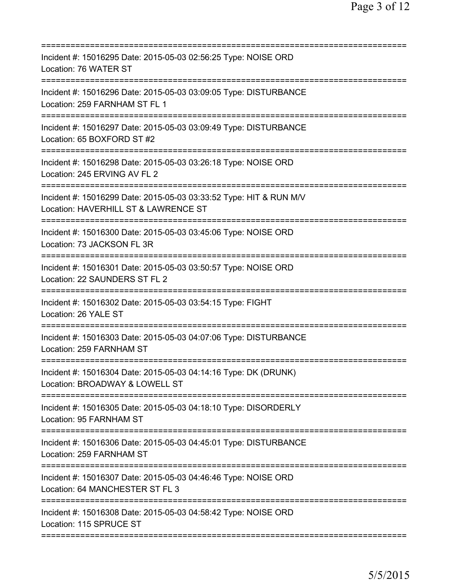| Incident #: 15016295 Date: 2015-05-03 02:56:25 Type: NOISE ORD<br>Location: 76 WATER ST                                                    |
|--------------------------------------------------------------------------------------------------------------------------------------------|
| Incident #: 15016296 Date: 2015-05-03 03:09:05 Type: DISTURBANCE<br>Location: 259 FARNHAM ST FL 1                                          |
| Incident #: 15016297 Date: 2015-05-03 03:09:49 Type: DISTURBANCE<br>Location: 65 BOXFORD ST #2<br>=====================                    |
| Incident #: 15016298 Date: 2015-05-03 03:26:18 Type: NOISE ORD<br>Location: 245 ERVING AV FL 2                                             |
| Incident #: 15016299 Date: 2015-05-03 03:33:52 Type: HIT & RUN M/V<br>Location: HAVERHILL ST & LAWRENCE ST<br>============================ |
| Incident #: 15016300 Date: 2015-05-03 03:45:06 Type: NOISE ORD<br>Location: 73 JACKSON FL 3R                                               |
| Incident #: 15016301 Date: 2015-05-03 03:50:57 Type: NOISE ORD<br>Location: 22 SAUNDERS ST FL 2                                            |
| Incident #: 15016302 Date: 2015-05-03 03:54:15 Type: FIGHT<br>Location: 26 YALE ST                                                         |
| Incident #: 15016303 Date: 2015-05-03 04:07:06 Type: DISTURBANCE<br>Location: 259 FARNHAM ST                                               |
| Incident #: 15016304 Date: 2015-05-03 04:14:16 Type: DK (DRUNK)<br>Location: BROADWAY & LOWELL ST                                          |
| Incident #: 15016305 Date: 2015-05-03 04:18:10 Type: DISORDERLY<br>Location: 95 FARNHAM ST                                                 |
| Incident #: 15016306 Date: 2015-05-03 04:45:01 Type: DISTURBANCE<br>Location: 259 FARNHAM ST                                               |
| Incident #: 15016307 Date: 2015-05-03 04:46:46 Type: NOISE ORD<br>Location: 64 MANCHESTER ST FL 3                                          |
| Incident #: 15016308 Date: 2015-05-03 04:58:42 Type: NOISE ORD<br>Location: 115 SPRUCE ST                                                  |
|                                                                                                                                            |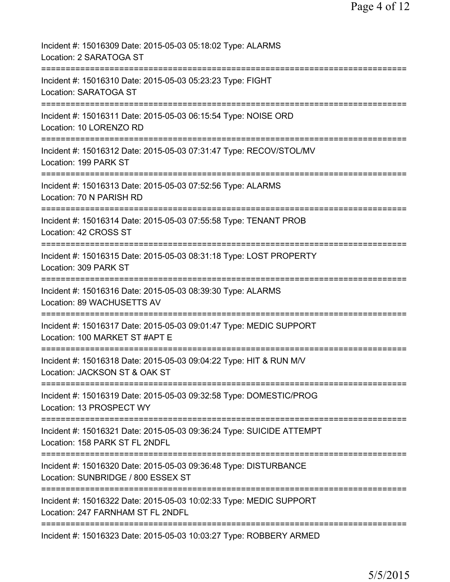| Incident #: 15016309 Date: 2015-05-03 05:18:02 Type: ALARMS<br>Location: 2 SARATOGA ST                  |
|---------------------------------------------------------------------------------------------------------|
| Incident #: 15016310 Date: 2015-05-03 05:23:23 Type: FIGHT<br>Location: SARATOGA ST                     |
| Incident #: 15016311 Date: 2015-05-03 06:15:54 Type: NOISE ORD<br>Location: 10 LORENZO RD               |
| Incident #: 15016312 Date: 2015-05-03 07:31:47 Type: RECOV/STOL/MV<br>Location: 199 PARK ST             |
| ------------<br>Incident #: 15016313 Date: 2015-05-03 07:52:56 Type: ALARMS<br>Location: 70 N PARISH RD |
| Incident #: 15016314 Date: 2015-05-03 07:55:58 Type: TENANT PROB<br>Location: 42 CROSS ST               |
| Incident #: 15016315 Date: 2015-05-03 08:31:18 Type: LOST PROPERTY<br>Location: 309 PARK ST<br>         |
| Incident #: 15016316 Date: 2015-05-03 08:39:30 Type: ALARMS<br>Location: 89 WACHUSETTS AV               |
| Incident #: 15016317 Date: 2015-05-03 09:01:47 Type: MEDIC SUPPORT<br>Location: 100 MARKET ST #APT E    |
| Incident #: 15016318 Date: 2015-05-03 09:04:22 Type: HIT & RUN M/V<br>Location: JACKSON ST & OAK ST     |
| Incident #: 15016319 Date: 2015-05-03 09:32:58 Type: DOMESTIC/PROG<br>Location: 13 PROSPECT WY          |
| Incident #: 15016321 Date: 2015-05-03 09:36:24 Type: SUICIDE ATTEMPT<br>Location: 158 PARK ST FL 2NDFL  |
| Incident #: 15016320 Date: 2015-05-03 09:36:48 Type: DISTURBANCE<br>Location: SUNBRIDGE / 800 ESSEX ST  |
| Incident #: 15016322 Date: 2015-05-03 10:02:33 Type: MEDIC SUPPORT<br>Location: 247 FARNHAM ST FL 2NDFL |
| Incident #: 15016323 Date: 2015-05-03 10:03:27 Type: ROBBERY ARMED                                      |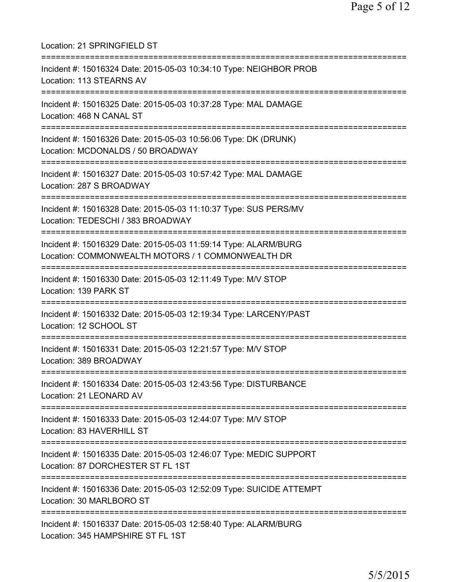Location: 21 SPRINGFIELD ST =========================================================================== Incident #: 15016324 Date: 2015-05-03 10:34:10 Type: NEIGHBOR PROB Location: 113 STEARNS AV =========================================================================== Incident #: 15016325 Date: 2015-05-03 10:37:28 Type: MAL DAMAGE Location: 468 N CANAL ST =========================================================================== Incident #: 15016326 Date: 2015-05-03 10:56:06 Type: DK (DRUNK) Location: MCDONALDS / 50 BROADWAY =========================================================================== Incident #: 15016327 Date: 2015-05-03 10:57:42 Type: MAL DAMAGE Location: 287 S BROADWAY =========================================================================== Incident #: 15016328 Date: 2015-05-03 11:10:37 Type: SUS PERS/MV Location: TEDESCHI / 383 BROADWAY =========================================================================== Incident #: 15016329 Date: 2015-05-03 11:59:14 Type: ALARM/BURG Location: COMMONWEALTH MOTORS / 1 COMMONWEALTH DR =========================================================================== Incident #: 15016330 Date: 2015-05-03 12:11:49 Type: M/V STOP Location: 139 PARK ST =========================================================================== Incident #: 15016332 Date: 2015-05-03 12:19:34 Type: LARCENY/PAST Location: 12 SCHOOL ST =========================================================================== Incident #: 15016331 Date: 2015-05-03 12:21:57 Type: M/V STOP Location: 389 BROADWAY =========================================================================== Incident #: 15016334 Date: 2015-05-03 12:43:56 Type: DISTURBANCE Location: 21 LEONARD AV =========================================================================== Incident #: 15016333 Date: 2015-05-03 12:44:07 Type: M/V STOP Location: 83 HAVERHILL ST =========================================================================== Incident #: 15016335 Date: 2015-05-03 12:46:07 Type: MEDIC SUPPORT Location: 87 DORCHESTER ST FL 1ST =========================================================================== Incident #: 15016336 Date: 2015-05-03 12:52:09 Type: SUICIDE ATTEMPT Location: 30 MARLBORO ST =========================================================================== Incident #: 15016337 Date: 2015-05-03 12:58:40 Type: ALARM/BURG Location: 345 HAMPSHIRE ST FL 1ST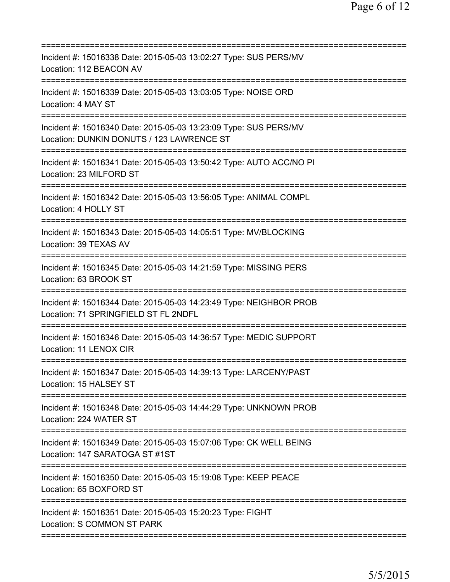| Incident #: 15016338 Date: 2015-05-03 13:02:27 Type: SUS PERS/MV<br>Location: 112 BEACON AV                                                   |
|-----------------------------------------------------------------------------------------------------------------------------------------------|
| Incident #: 15016339 Date: 2015-05-03 13:03:05 Type: NOISE ORD<br>Location: 4 MAY ST                                                          |
| Incident #: 15016340 Date: 2015-05-03 13:23:09 Type: SUS PERS/MV<br>Location: DUNKIN DONUTS / 123 LAWRENCE ST<br>============================ |
| Incident #: 15016341 Date: 2015-05-03 13:50:42 Type: AUTO ACC/NO PI<br>Location: 23 MILFORD ST                                                |
| Incident #: 15016342 Date: 2015-05-03 13:56:05 Type: ANIMAL COMPL<br>Location: 4 HOLLY ST                                                     |
| .====================================<br>Incident #: 15016343 Date: 2015-05-03 14:05:51 Type: MV/BLOCKING<br>Location: 39 TEXAS AV            |
| Incident #: 15016345 Date: 2015-05-03 14:21:59 Type: MISSING PERS<br>Location: 63 BROOK ST                                                    |
| Incident #: 15016344 Date: 2015-05-03 14:23:49 Type: NEIGHBOR PROB<br>Location: 71 SPRINGFIELD ST FL 2NDFL                                    |
| Incident #: 15016346 Date: 2015-05-03 14:36:57 Type: MEDIC SUPPORT<br>Location: 11 LENOX CIR                                                  |
| Incident #: 15016347 Date: 2015-05-03 14:39:13 Type: LARCENY/PAST<br>Location: 15 HALSEY ST                                                   |
| Incident #: 15016348 Date: 2015-05-03 14:44:29 Type: UNKNOWN PROB<br>Location: 224 WATER ST                                                   |
| Incident #: 15016349 Date: 2015-05-03 15:07:06 Type: CK WELL BEING<br>Location: 147 SARATOGA ST #1ST                                          |
| Incident #: 15016350 Date: 2015-05-03 15:19:08 Type: KEEP PEACE<br>Location: 65 BOXFORD ST                                                    |
| Incident #: 15016351 Date: 2015-05-03 15:20:23 Type: FIGHT<br>Location: S COMMON ST PARK                                                      |
|                                                                                                                                               |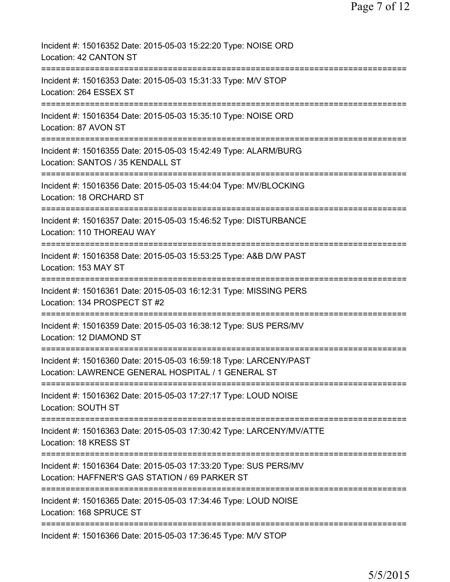| Incident #: 15016352 Date: 2015-05-03 15:22:20 Type: NOISE ORD<br>Location: 42 CANTON ST                                                                                 |
|--------------------------------------------------------------------------------------------------------------------------------------------------------------------------|
| Incident #: 15016353 Date: 2015-05-03 15:31:33 Type: M/V STOP<br>Location: 264 ESSEX ST                                                                                  |
| Incident #: 15016354 Date: 2015-05-03 15:35:10 Type: NOISE ORD<br>Location: 87 AVON ST                                                                                   |
| Incident #: 15016355 Date: 2015-05-03 15:42:49 Type: ALARM/BURG<br>Location: SANTOS / 35 KENDALL ST                                                                      |
| =======================<br>Incident #: 15016356 Date: 2015-05-03 15:44:04 Type: MV/BLOCKING<br>Location: 18 ORCHARD ST                                                   |
| Incident #: 15016357 Date: 2015-05-03 15:46:52 Type: DISTURBANCE<br>Location: 110 THOREAU WAY                                                                            |
| Incident #: 15016358 Date: 2015-05-03 15:53:25 Type: A&B D/W PAST<br>Location: 153 MAY ST                                                                                |
| Incident #: 15016361 Date: 2015-05-03 16:12:31 Type: MISSING PERS<br>Location: 134 PROSPECT ST #2                                                                        |
| Incident #: 15016359 Date: 2015-05-03 16:38:12 Type: SUS PERS/MV<br>Location: 12 DIAMOND ST                                                                              |
| Incident #: 15016360 Date: 2015-05-03 16:59:18 Type: LARCENY/PAST<br>Location: LAWRENCE GENERAL HOSPITAL / 1 GENERAL ST                                                  |
| ==========================<br>Incident #: 15016362 Date: 2015-05-03 17:27:17 Type: LOUD NOISE<br>Location: SOUTH ST                                                      |
| ===========================<br>Incident #: 15016363 Date: 2015-05-03 17:30:42 Type: LARCENY/MV/ATTE<br>Location: 18 KRESS ST                                             |
| Incident #: 15016364 Date: 2015-05-03 17:33:20 Type: SUS PERS/MV<br>Location: HAFFNER'S GAS STATION / 69 PARKER ST                                                       |
| =================================<br>=====================================<br>Incident #: 15016365 Date: 2015-05-03 17:34:46 Type: LOUD NOISE<br>Location: 168 SPRUCE ST |
| Incident #: 15016366 Date: 2015-05-03 17:36:45 Type: M/V STOP                                                                                                            |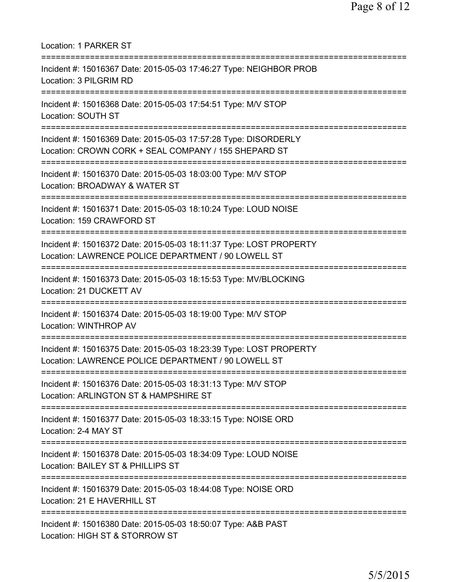| <b>Location: 1 PARKER ST</b>                                                                                                      |
|-----------------------------------------------------------------------------------------------------------------------------------|
| Incident #: 15016367 Date: 2015-05-03 17:46:27 Type: NEIGHBOR PROB<br>Location: 3 PILGRIM RD                                      |
| Incident #: 15016368 Date: 2015-05-03 17:54:51 Type: M/V STOP<br>Location: SOUTH ST                                               |
| Incident #: 15016369 Date: 2015-05-03 17:57:28 Type: DISORDERLY<br>Location: CROWN CORK + SEAL COMPANY / 155 SHEPARD ST           |
| Incident #: 15016370 Date: 2015-05-03 18:03:00 Type: M/V STOP<br>Location: BROADWAY & WATER ST                                    |
| Incident #: 15016371 Date: 2015-05-03 18:10:24 Type: LOUD NOISE<br>Location: 159 CRAWFORD ST                                      |
| Incident #: 15016372 Date: 2015-05-03 18:11:37 Type: LOST PROPERTY<br>Location: LAWRENCE POLICE DEPARTMENT / 90 LOWELL ST         |
| Incident #: 15016373 Date: 2015-05-03 18:15:53 Type: MV/BLOCKING<br>Location: 21 DUCKETT AV<br>================================== |
| Incident #: 15016374 Date: 2015-05-03 18:19:00 Type: M/V STOP<br>Location: WINTHROP AV                                            |
| Incident #: 15016375 Date: 2015-05-03 18:23:39 Type: LOST PROPERTY<br>Location: LAWRENCE POLICE DEPARTMENT / 90 LOWELL ST         |
| Incident #: 15016376 Date: 2015-05-03 18:31:13 Type: M/V STOP<br>Location: ARLINGTON ST & HAMPSHIRE ST                            |
| Incident #: 15016377 Date: 2015-05-03 18:33:15 Type: NOISE ORD<br>Location: 2-4 MAY ST                                            |
| Incident #: 15016378 Date: 2015-05-03 18:34:09 Type: LOUD NOISE<br>Location: BAILEY ST & PHILLIPS ST                              |
| Incident #: 15016379 Date: 2015-05-03 18:44:08 Type: NOISE ORD<br>Location: 21 E HAVERHILL ST                                     |
| Incident #: 15016380 Date: 2015-05-03 18:50:07 Type: A&B PAST<br>Location: HIGH ST & STORROW ST                                   |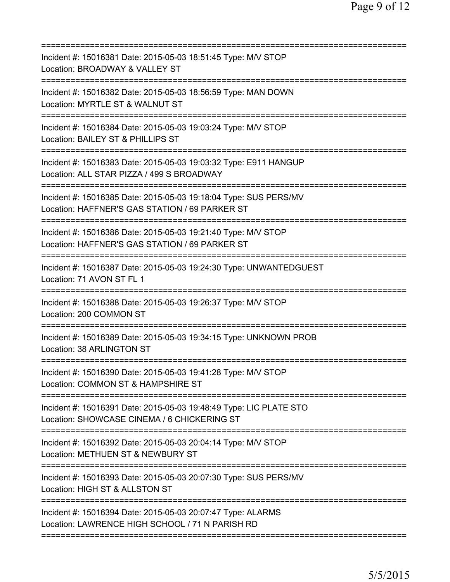| Incident #: 15016381 Date: 2015-05-03 18:51:45 Type: M/V STOP<br>Location: BROADWAY & VALLEY ST                                                          |
|----------------------------------------------------------------------------------------------------------------------------------------------------------|
| Incident #: 15016382 Date: 2015-05-03 18:56:59 Type: MAN DOWN<br>Location: MYRTLE ST & WALNUT ST                                                         |
| Incident #: 15016384 Date: 2015-05-03 19:03:24 Type: M/V STOP<br>Location: BAILEY ST & PHILLIPS ST                                                       |
| Incident #: 15016383 Date: 2015-05-03 19:03:32 Type: E911 HANGUP<br>Location: ALL STAR PIZZA / 499 S BROADWAY<br>==========================              |
| Incident #: 15016385 Date: 2015-05-03 19:18:04 Type: SUS PERS/MV<br>Location: HAFFNER'S GAS STATION / 69 PARKER ST<br>========================           |
| Incident #: 15016386 Date: 2015-05-03 19:21:40 Type: M/V STOP<br>Location: HAFFNER'S GAS STATION / 69 PARKER ST<br>===================================== |
| Incident #: 15016387 Date: 2015-05-03 19:24:30 Type: UNWANTEDGUEST<br>Location: 71 AVON ST FL 1                                                          |
| Incident #: 15016388 Date: 2015-05-03 19:26:37 Type: M/V STOP<br>Location: 200 COMMON ST                                                                 |
| Incident #: 15016389 Date: 2015-05-03 19:34:15 Type: UNKNOWN PROB<br>Location: 38 ARLINGTON ST                                                           |
| Incident #: 15016390 Date: 2015-05-03 19:41:28 Type: M/V STOP<br>Location: COMMON ST & HAMPSHIRE ST                                                      |
| Incident #: 15016391 Date: 2015-05-03 19:48:49 Type: LIC PLATE STO<br>Location: SHOWCASE CINEMA / 6 CHICKERING ST                                        |
| Incident #: 15016392 Date: 2015-05-03 20:04:14 Type: M/V STOP<br>Location: METHUEN ST & NEWBURY ST<br>===============================                    |
| Incident #: 15016393 Date: 2015-05-03 20:07:30 Type: SUS PERS/MV<br>Location: HIGH ST & ALLSTON ST                                                       |
| Incident #: 15016394 Date: 2015-05-03 20:07:47 Type: ALARMS<br>Location: LAWRENCE HIGH SCHOOL / 71 N PARISH RD                                           |
|                                                                                                                                                          |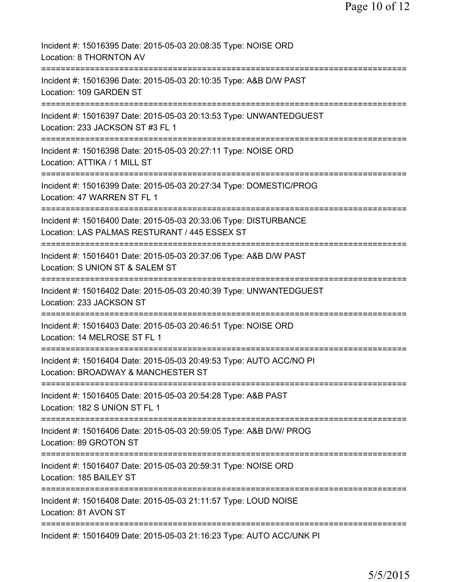| Incident #: 15016395 Date: 2015-05-03 20:08:35 Type: NOISE ORD<br>Location: 8 THORNTON AV<br>=================                               |
|----------------------------------------------------------------------------------------------------------------------------------------------|
| Incident #: 15016396 Date: 2015-05-03 20:10:35 Type: A&B D/W PAST<br>Location: 109 GARDEN ST                                                 |
| Incident #: 15016397 Date: 2015-05-03 20:13:53 Type: UNWANTEDGUEST<br>Location: 233 JACKSON ST #3 FL 1                                       |
| Incident #: 15016398 Date: 2015-05-03 20:27:11 Type: NOISE ORD<br>Location: ATTIKA / 1 MILL ST                                               |
| :===================<br>Incident #: 15016399 Date: 2015-05-03 20:27:34 Type: DOMESTIC/PROG<br>Location: 47 WARREN ST FL 1                    |
| Incident #: 15016400 Date: 2015-05-03 20:33:06 Type: DISTURBANCE<br>Location: LAS PALMAS RESTURANT / 445 ESSEX ST                            |
| ====================================<br>Incident #: 15016401 Date: 2015-05-03 20:37:06 Type: A&B D/W PAST<br>Location: S UNION ST & SALEM ST |
| =====================<br>Incident #: 15016402 Date: 2015-05-03 20:40:39 Type: UNWANTEDGUEST<br>Location: 233 JACKSON ST                      |
| Incident #: 15016403 Date: 2015-05-03 20:46:51 Type: NOISE ORD<br>Location: 14 MELROSE ST FL 1                                               |
| Incident #: 15016404 Date: 2015-05-03 20:49:53 Type: AUTO ACC/NO PI<br>Location: BROADWAY & MANCHESTER ST                                    |
| =========================<br>Incident #: 15016405 Date: 2015-05-03 20:54:28 Type: A&B PAST<br>Location: 182 S UNION ST FL 1                  |
| Incident #: 15016406 Date: 2015-05-03 20:59:05 Type: A&B D/W/ PROG<br>Location: 89 GROTON ST                                                 |
| Incident #: 15016407 Date: 2015-05-03 20:59:31 Type: NOISE ORD<br>Location: 185 BAILEY ST                                                    |
| Incident #: 15016408 Date: 2015-05-03 21:11:57 Type: LOUD NOISE<br>Location: 81 AVON ST                                                      |
| Incident #: 15016409 Date: 2015-05-03 21:16:23 Type: AUTO ACC/UNK PI                                                                         |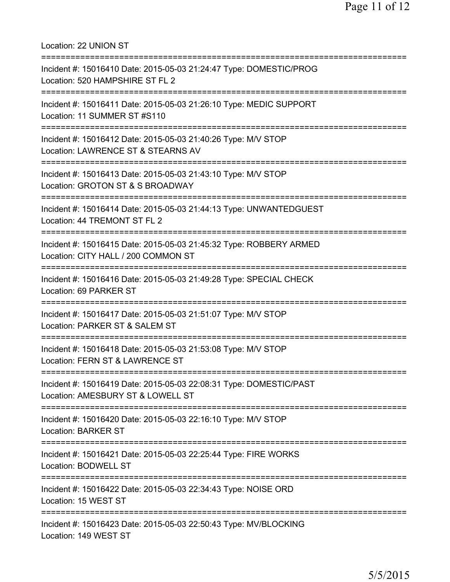Location: 22 UNION ST =========================================================================== Incident #: 15016410 Date: 2015-05-03 21:24:47 Type: DOMESTIC/PROG Location: 520 HAMPSHIRE ST FL 2 =========================================================================== Incident #: 15016411 Date: 2015-05-03 21:26:10 Type: MEDIC SUPPORT Location: 11 SUMMER ST #S110 =========================================================================== Incident #: 15016412 Date: 2015-05-03 21:40:26 Type: M/V STOP Location: LAWRENCE ST & STEARNS AV =========================================================================== Incident #: 15016413 Date: 2015-05-03 21:43:10 Type: M/V STOP Location: GROTON ST & S BROADWAY =========================================================================== Incident #: 15016414 Date: 2015-05-03 21:44:13 Type: UNWANTEDGUEST Location: 44 TREMONT ST FL 2 =========================================================================== Incident #: 15016415 Date: 2015-05-03 21:45:32 Type: ROBBERY ARMED Location: CITY HALL / 200 COMMON ST =========================================================================== Incident #: 15016416 Date: 2015-05-03 21:49:28 Type: SPECIAL CHECK Location: 69 PARKER ST =========================================================================== Incident #: 15016417 Date: 2015-05-03 21:51:07 Type: M/V STOP Location: PARKER ST & SALEM ST =========================================================================== Incident #: 15016418 Date: 2015-05-03 21:53:08 Type: M/V STOP Location: FERN ST & LAWRENCE ST =========================================================================== Incident #: 15016419 Date: 2015-05-03 22:08:31 Type: DOMESTIC/PAST Location: AMESBURY ST & LOWELL ST =========================================================================== Incident #: 15016420 Date: 2015-05-03 22:16:10 Type: M/V STOP Location: BARKER ST =========================================================================== Incident #: 15016421 Date: 2015-05-03 22:25:44 Type: FIRE WORKS Location: BODWELL ST =========================================================================== Incident #: 15016422 Date: 2015-05-03 22:34:43 Type: NOISE ORD Location: 15 WEST ST =========================================================================== Incident #: 15016423 Date: 2015-05-03 22:50:43 Type: MV/BLOCKING Location: 149 WEST ST